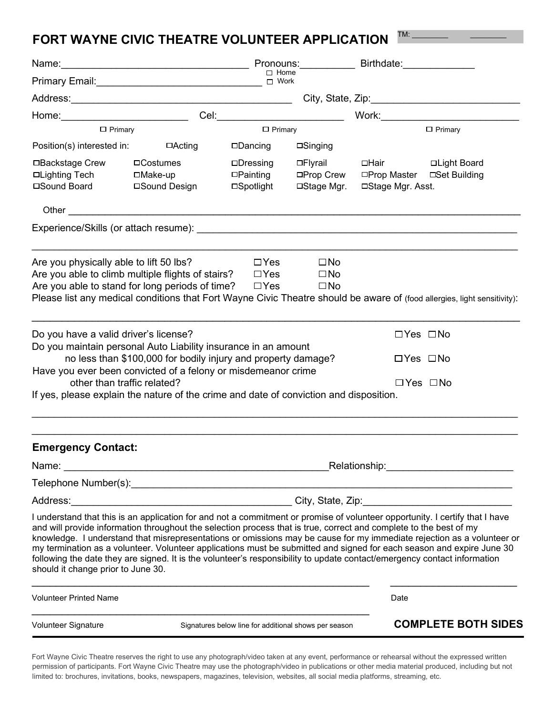## **FORT WAYNE CIVIC THEATRE VOLUNTEER APPLICATION**  $TM:$   $\_$

| Name: <u>_________________________</u>                                                                                                                                                                                                                                                                                                                                                                                                                                                                                                        |                                                               | Pronouns: _________                                   |                                              | Birthdate: <b>Example 2019</b>                                       |                                                                                                                        |  |
|-----------------------------------------------------------------------------------------------------------------------------------------------------------------------------------------------------------------------------------------------------------------------------------------------------------------------------------------------------------------------------------------------------------------------------------------------------------------------------------------------------------------------------------------------|---------------------------------------------------------------|-------------------------------------------------------|----------------------------------------------|----------------------------------------------------------------------|------------------------------------------------------------------------------------------------------------------------|--|
| <b>Primary Email:</b> Primary Email:                                                                                                                                                                                                                                                                                                                                                                                                                                                                                                          |                                                               | $\Box$ Home<br>$\Box$ Work                            |                                              |                                                                      |                                                                                                                        |  |
|                                                                                                                                                                                                                                                                                                                                                                                                                                                                                                                                               |                                                               |                                                       |                                              |                                                                      |                                                                                                                        |  |
| Home:____________________________                                                                                                                                                                                                                                                                                                                                                                                                                                                                                                             |                                                               |                                                       | Cel:____________________________             |                                                                      | Work:____________________                                                                                              |  |
| $\Box$ Primary                                                                                                                                                                                                                                                                                                                                                                                                                                                                                                                                |                                                               | $\Box$ Primary                                        |                                              | $\Box$ Primary                                                       |                                                                                                                        |  |
| Position(s) interested in:                                                                                                                                                                                                                                                                                                                                                                                                                                                                                                                    | □Acting                                                       | □Dancing                                              | $\Box$ Singing                               |                                                                      |                                                                                                                        |  |
| □Backstage Crew<br>□Lighting Tech<br>□Sound Board                                                                                                                                                                                                                                                                                                                                                                                                                                                                                             | $\Box$ Costumes<br>□Make-up<br>□Sound Design                  | $\Box$ Dressing<br>$\square$ Painting<br>□Spotlight   | □Flyrail<br>□Prop Crew<br>□Stage Mgr.        | □Hair<br>□Prop Master<br>□Stage Mgr. Asst.                           | □Light Board<br>□Set Building                                                                                          |  |
| Other                                                                                                                                                                                                                                                                                                                                                                                                                                                                                                                                         | <u> 1989 - Johann Barn, mars an t-Amerikaansk politiker (</u> |                                                       |                                              |                                                                      |                                                                                                                        |  |
| Experience/Skills (or attach resume):                                                                                                                                                                                                                                                                                                                                                                                                                                                                                                         |                                                               |                                                       |                                              |                                                                      |                                                                                                                        |  |
| Are you physically able to lift 50 lbs?<br>Are you able to climb multiple flights of stairs?<br>Are you able to stand for long periods of time?<br>Please list any medical conditions that Fort Wayne Civic Theatre should be aware of (food allergies, light sensitivity):                                                                                                                                                                                                                                                                   |                                                               | $\Box$ Yes<br>$\Box$ Yes<br>$\Box$ Yes                | $\square$ No<br>$\square$ No<br>$\square$ No |                                                                      |                                                                                                                        |  |
| Do you have a valid driver's license?<br>Do you maintain personal Auto Liability insurance in an amount<br>Have you ever been convicted of a felony or misdemeanor crime<br>other than traffic related?<br>If yes, please explain the nature of the crime and date of conviction and disposition.                                                                                                                                                                                                                                             | no less than \$100,000 for bodily injury and property damage? |                                                       |                                              | $\Box$ Yes $\Box$ No<br>$\Box$ Yes $\Box$ No<br>$\Box$ Yes $\Box$ No |                                                                                                                        |  |
| <b>Emergency Contact:</b>                                                                                                                                                                                                                                                                                                                                                                                                                                                                                                                     |                                                               |                                                       |                                              |                                                                      |                                                                                                                        |  |
| Name:<br><u> 1989 - Johann Barbara, martxa alemaniar amerikan basar da a</u>                                                                                                                                                                                                                                                                                                                                                                                                                                                                  |                                                               |                                                       |                                              |                                                                      |                                                                                                                        |  |
| Telephone Number(s):                                                                                                                                                                                                                                                                                                                                                                                                                                                                                                                          |                                                               |                                                       |                                              |                                                                      |                                                                                                                        |  |
|                                                                                                                                                                                                                                                                                                                                                                                                                                                                                                                                               |                                                               |                                                       |                                              |                                                                      |                                                                                                                        |  |
| I understand that this is an application for and not a commitment or promise of volunteer opportunity. I certify that I have<br>and will provide information throughout the selection process that is true, correct and complete to the best of my<br>my termination as a volunteer. Volunteer applications must be submitted and signed for each season and expire June 30<br>following the date they are signed. It is the volunteer's responsibility to update contact/emergency contact information<br>should it change prior to June 30. |                                                               |                                                       |                                              |                                                                      | knowledge. I understand that misrepresentations or omissions may be cause for my immediate rejection as a volunteer or |  |
| <b>Volunteer Printed Name</b>                                                                                                                                                                                                                                                                                                                                                                                                                                                                                                                 |                                                               |                                                       |                                              | Date                                                                 |                                                                                                                        |  |
| Volunteer Signature                                                                                                                                                                                                                                                                                                                                                                                                                                                                                                                           |                                                               | Signatures below line for additional shows per season |                                              |                                                                      | <b>COMPLETE BOTH SIDES</b>                                                                                             |  |

Fort Wayne Civic Theatre reserves the right to use any photograph/video taken at any event, performance or rehearsal without the expressed written permission of participants. Fort Wayne Civic Theatre may use the photograph/video in publications or other media material produced, including but not limited to: brochures, invitations, books, newspapers, magazines, television, websites, all social media platforms, streaming, etc.